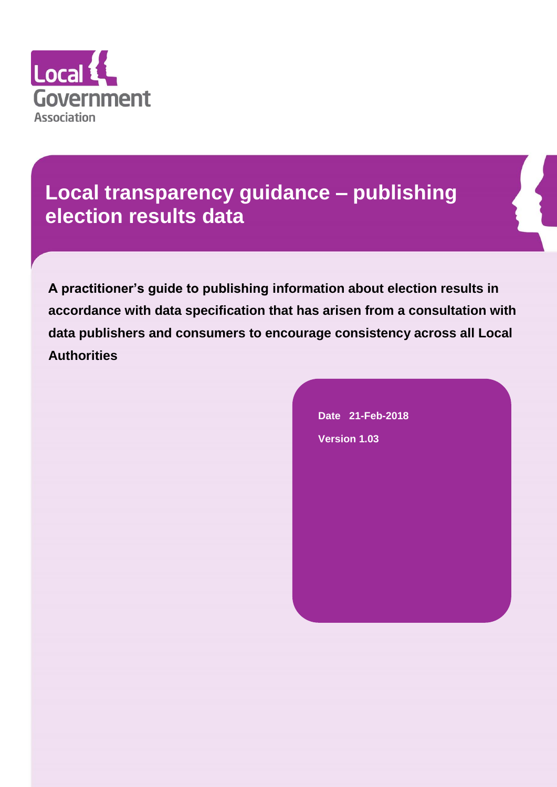

# **Local transparency guidance – publishing election results data**

**A practitioner's guide to publishing information about election results in accordance with data specification that has arisen from a consultation with data publishers and consumers to encourage consistency across all Local Authorities**

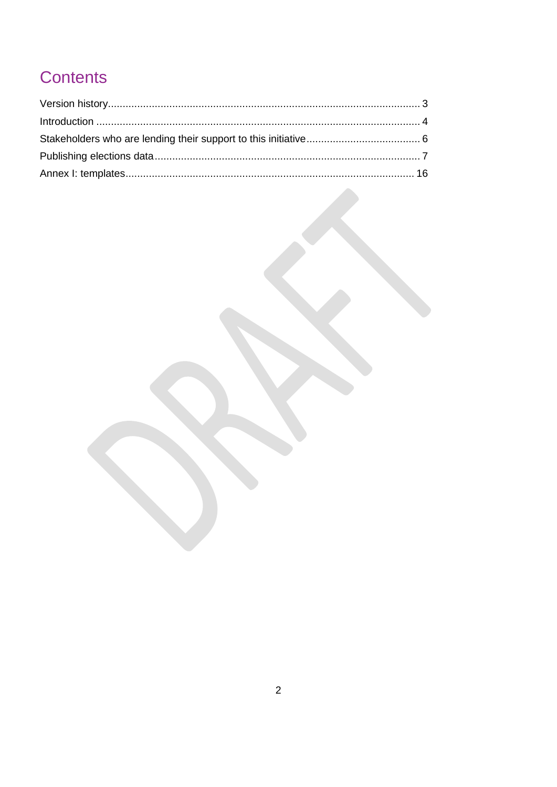# Contents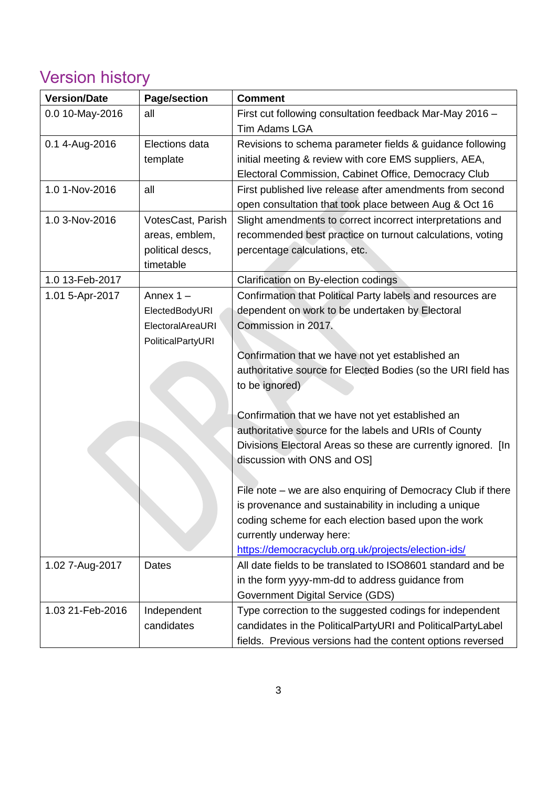# <span id="page-2-0"></span>Version history

| <b>Version/Date</b> | <b>Page/section</b> | <b>Comment</b>                                                |
|---------------------|---------------------|---------------------------------------------------------------|
| 0.0 10-May-2016     | all                 | First cut following consultation feedback Mar-May 2016 -      |
|                     |                     | <b>Tim Adams LGA</b>                                          |
| 0.1 4-Aug-2016      | Elections data      | Revisions to schema parameter fields & guidance following     |
|                     | template            | initial meeting & review with core EMS suppliers, AEA,        |
|                     |                     | Electoral Commission, Cabinet Office, Democracy Club          |
| 1.0 1-Nov-2016      | all                 | First published live release after amendments from second     |
|                     |                     | open consultation that took place between Aug & Oct 16        |
| 1.0 3-Nov-2016      | VotesCast, Parish   | Slight amendments to correct incorrect interpretations and    |
|                     | areas, emblem,      | recommended best practice on turnout calculations, voting     |
|                     | political descs,    | percentage calculations, etc.                                 |
|                     | timetable           |                                                               |
| 1.0 13-Feb-2017     |                     | Clarification on By-election codings                          |
| 1.01 5-Apr-2017     | Annex $1 -$         | Confirmation that Political Party labels and resources are    |
|                     | ElectedBodyURI      | dependent on work to be undertaken by Electoral               |
|                     | ElectoralAreaURI    | Commission in 2017.                                           |
|                     | PoliticalPartyURI   |                                                               |
|                     |                     | Confirmation that we have not yet established an              |
|                     |                     | authoritative source for Elected Bodies (so the URI field has |
|                     |                     | to be ignored)                                                |
|                     |                     |                                                               |
|                     |                     | Confirmation that we have not yet established an              |
|                     |                     | authoritative source for the labels and URIs of County        |
|                     |                     | Divisions Electoral Areas so these are currently ignored. [In |
|                     |                     | discussion with ONS and OS]                                   |
|                     |                     |                                                               |
|                     |                     | File note – we are also enquiring of Democracy Club if there  |
|                     |                     | is provenance and sustainability in including a unique        |
|                     |                     | coding scheme for each election based upon the work           |
|                     |                     | currently underway here:                                      |
|                     |                     | https://democracyclub.org.uk/projects/election-ids/           |
| 1.02 7-Aug-2017     | Dates               | All date fields to be translated to ISO8601 standard and be   |
|                     |                     | in the form yyyy-mm-dd to address guidance from               |
|                     |                     | <b>Government Digital Service (GDS)</b>                       |
| 1.03 21-Feb-2016    | Independent         | Type correction to the suggested codings for independent      |
|                     | candidates          | candidates in the PoliticalPartyURI and PoliticalPartyLabel   |
|                     |                     | fields. Previous versions had the content options reversed    |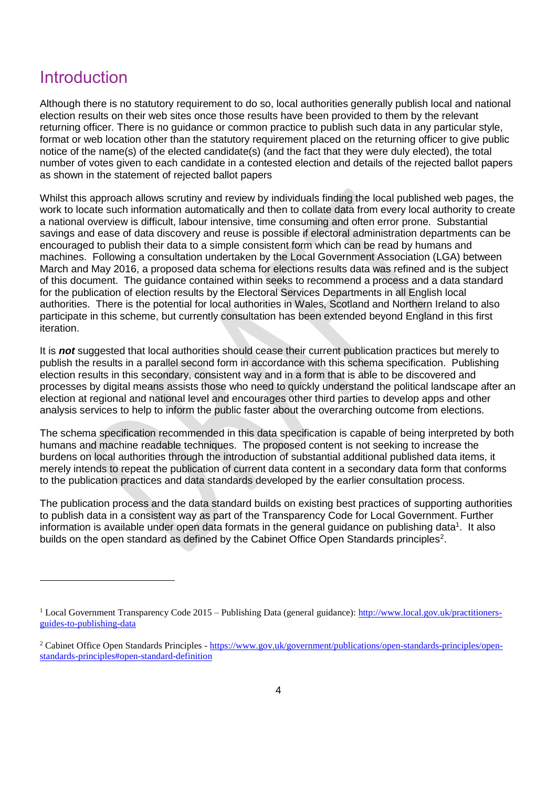## <span id="page-3-0"></span>**Introduction**

Although there is no statutory requirement to do so, local authorities generally publish local and national election results on their web sites once those results have been provided to them by the relevant returning officer. There is no guidance or common practice to publish such data in any particular style, format or web location other than the statutory requirement placed on the returning officer to give public notice of the name(s) of the elected candidate(s) (and the fact that they were duly elected), the total number of votes given to each candidate in a contested election and details of the rejected ballot papers as shown in the statement of rejected ballot papers

Whilst this approach allows scrutiny and review by individuals finding the local published web pages, the work to locate such information automatically and then to collate data from every local authority to create a national overview is difficult, labour intensive, time consuming and often error prone. Substantial savings and ease of data discovery and reuse is possible if electoral administration departments can be encouraged to publish their data to a simple consistent form which can be read by humans and machines. Following a consultation undertaken by the Local Government Association (LGA) between March and May 2016, a proposed data schema for elections results data was refined and is the subject of this document. The guidance contained within seeks to recommend a process and a data standard for the publication of election results by the Electoral Services Departments in all English local authorities. There is the potential for local authorities in Wales, Scotland and Northern Ireland to also participate in this scheme, but currently consultation has been extended beyond England in this first iteration.

It is *not* suggested that local authorities should cease their current publication practices but merely to publish the results in a parallel second form in accordance with this schema specification. Publishing election results in this secondary, consistent way and in a form that is able to be discovered and processes by digital means assists those who need to quickly understand the political landscape after an election at regional and national level and encourages other third parties to develop apps and other analysis services to help to inform the public faster about the overarching outcome from elections.

The schema specification recommended in this data specification is capable of being interpreted by both humans and machine readable techniques. The proposed content is not seeking to increase the burdens on local authorities through the introduction of substantial additional published data items, it merely intends to repeat the publication of current data content in a secondary data form that conforms to the publication practices and data standards developed by the earlier consultation process.

The publication process and the data standard builds on existing best practices of supporting authorities to publish data in a consistent way as part of the Transparency Code for Local Government. Further information is available under open data formats in the general guidance on publishing data<sup>1</sup>. It also builds on the open standard as defined by the Cabinet Office Open Standards principles<sup>2</sup>.

<sup>&</sup>lt;sup>1</sup> Local Government Transparency Code 2015 – Publishing Data (general guidance): [http://www.local.gov.uk/practitioners](http://www.local.gov.uk/practitioners-guides-to-publishing-data)[guides-to-publishing-data](http://www.local.gov.uk/practitioners-guides-to-publishing-data)

<sup>2</sup> Cabinet Office Open Standards Principles - [https://www.gov.uk/government/publications/open-standards-principles/open](https://www.gov.uk/government/publications/open-standards-principles/open-standards-principles#open-standard-definition)[standards-principles#open-standard-definition](https://www.gov.uk/government/publications/open-standards-principles/open-standards-principles#open-standard-definition)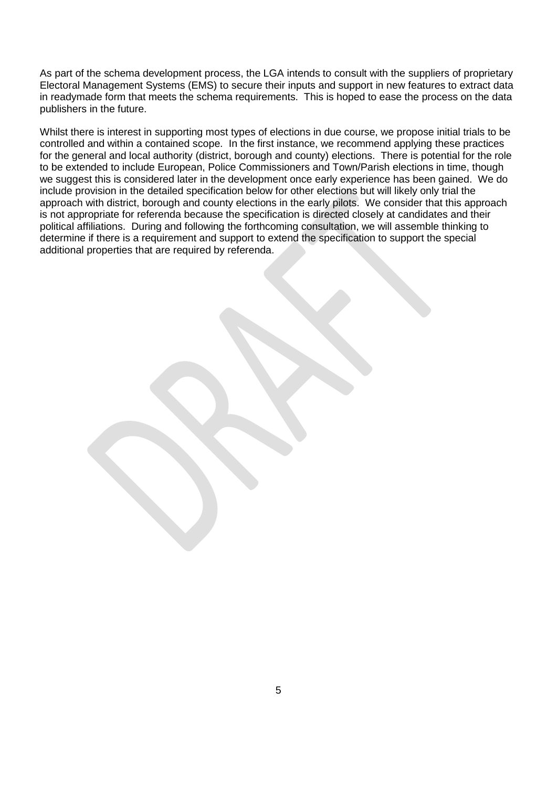As part of the schema development process, the LGA intends to consult with the suppliers of proprietary Electoral Management Systems (EMS) to secure their inputs and support in new features to extract data in readymade form that meets the schema requirements. This is hoped to ease the process on the data publishers in the future.

Whilst there is interest in supporting most types of elections in due course, we propose initial trials to be controlled and within a contained scope. In the first instance, we recommend applying these practices for the general and local authority (district, borough and county) elections. There is potential for the role to be extended to include European, Police Commissioners and Town/Parish elections in time, though we suggest this is considered later in the development once early experience has been gained. We do include provision in the detailed specification below for other elections but will likely only trial the approach with district, borough and county elections in the early pilots. We consider that this approach is not appropriate for referenda because the specification is directed closely at candidates and their political affiliations. During and following the forthcoming consultation, we will assemble thinking to determine if there is a requirement and support to extend the specification to support the special additional properties that are required by referenda.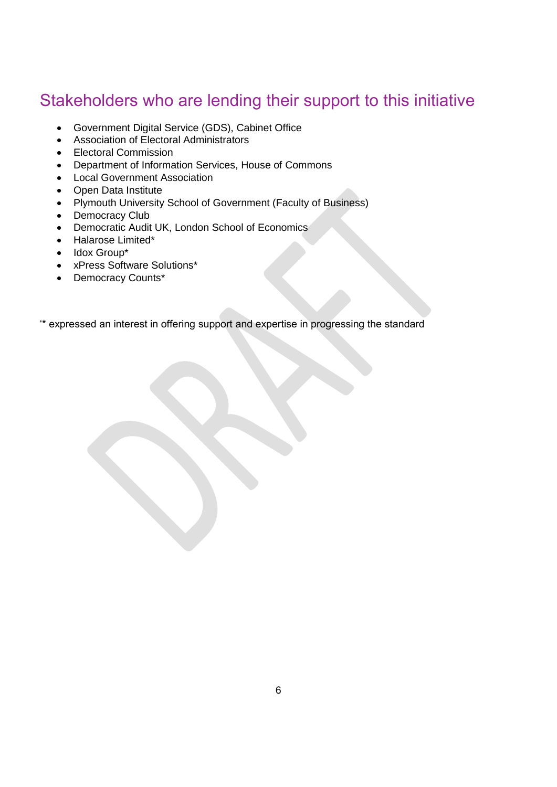## <span id="page-5-0"></span>Stakeholders who are lending their support to this initiative

- Government Digital Service (GDS), Cabinet Office
- Association of Electoral Administrators
- Electoral Commission
- Department of Information Services, House of Commons
- Local Government Association
- Open Data Institute
- Plymouth University School of Government (Faculty of Business)
- Democracy Club
- Democratic Audit UK, London School of Economics
- Halarose Limited\*
- Idox Group\*
- xPress Software Solutions\*
- Democracy Counts\*

'\* expressed an interest in offering support and expertise in progressing the standard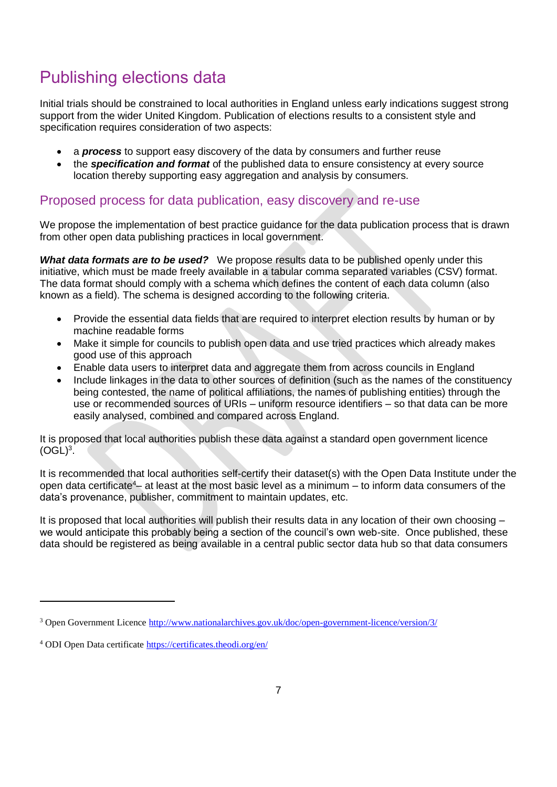## <span id="page-6-0"></span>Publishing elections data

Initial trials should be constrained to local authorities in England unless early indications suggest strong support from the wider United Kingdom. Publication of elections results to a consistent style and specification requires consideration of two aspects:

- a *process* to support easy discovery of the data by consumers and further reuse
- the *specification and format* of the published data to ensure consistency at every source location thereby supporting easy aggregation and analysis by consumers.

## Proposed process for data publication, easy discovery and re-use

We propose the implementation of best practice guidance for the data publication process that is drawn from other open data publishing practices in local government.

*What data formats are to be used?* We propose results data to be published openly under this initiative, which must be made freely available in a tabular comma separated variables (CSV) format. The data format should comply with a schema which defines the content of each data column (also known as a field). The schema is designed according to the following criteria.

- Provide the essential data fields that are required to interpret election results by human or by machine readable forms
- Make it simple for councils to publish open data and use tried practices which already makes good use of this approach
- Enable data users to interpret data and aggregate them from across councils in England
- Include linkages in the data to other sources of definition (such as the names of the constituency being contested, the name of political affiliations, the names of publishing entities) through the use or recommended sources of URIs – uniform resource identifiers – so that data can be more easily analysed, combined and compared across England.

It is proposed that local authorities publish these data against a standard open government licence  $(OGL)<sup>3</sup>$ .

It is recommended that local authorities self-certify their dataset(s) with the Open Data Institute under the open data certificate<sup>4</sup> – at least at the most basic level as a minimum – to inform data consumers of the data's provenance, publisher, commitment to maintain updates, etc.

It is proposed that local authorities will publish their results data in any location of their own choosing – we would anticipate this probably being a section of the council's own web-site. Once published, these data should be registered as being available in a central public sector data hub so that data consumers

 $\overline{a}$ 

<sup>3</sup> Open Government Licence<http://www.nationalarchives.gov.uk/doc/open-government-licence/version/3/>

<sup>4</sup> ODI Open Data certificate<https://certificates.theodi.org/en/>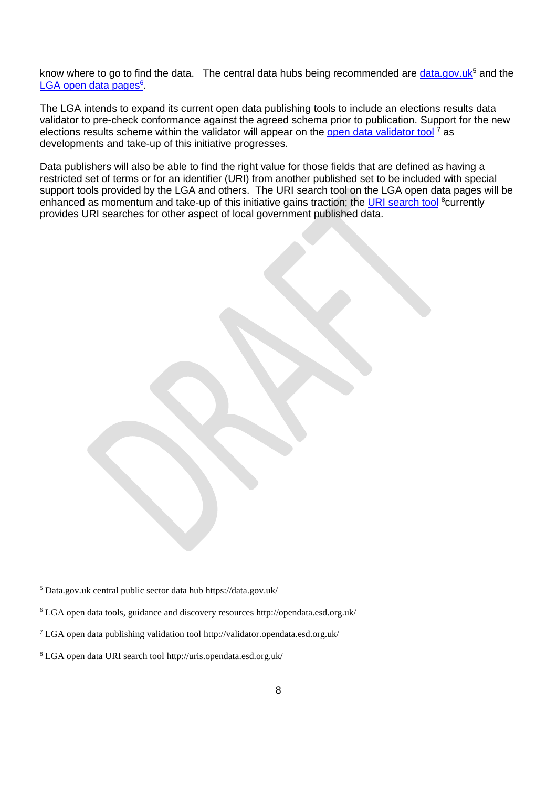know where to go to find the data. The central data hubs being recommended are [data.gov.uk](https://data.gov.uk/)<sup>5</sup> and the [LGA open data pages](http://opendata.esd.org.uk/)<sup>6</sup>.

The LGA intends to expand its current open data publishing tools to include an elections results data validator to pre-check conformance against the agreed schema prior to publication. Support for the new elections results scheme within the validator will appear on the [open data validator tool](http://validator.opendata.esd.org.uk/)  $<sup>7</sup>$  as</sup> developments and take-up of this initiative progresses.

Data publishers will also be able to find the right value for those fields that are defined as having a restricted set of terms or for an identifier (URI) from another published set to be included with special support tools provided by the LGA and others. The URI search tool on the LGA open data pages will be enhanced as momentum and take-up of this initiative gains traction; the [URI search tool](http://uris.opendata.esd.org.uk/) <sup>8</sup>currently provides URI searches for other aspect of local government published data.

<sup>5</sup> Data.gov.uk central public sector data hub https://data.gov.uk/

<sup>6</sup> LGA open data tools, guidance and discovery resources http://opendata.esd.org.uk/

<sup>7</sup> LGA open data publishing validation tool http://validator.opendata.esd.org.uk/

<sup>8</sup> LGA open data URI search tool http://uris.opendata.esd.org.uk/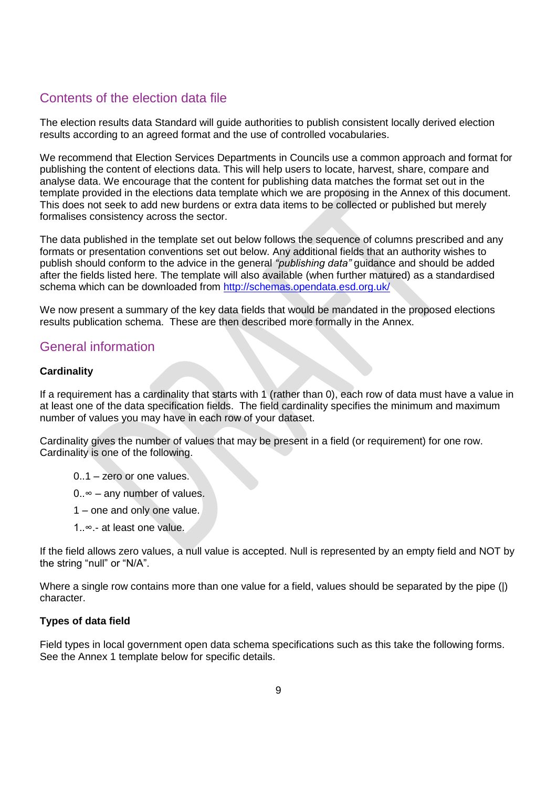## Contents of the election data file

The election results data Standard will guide authorities to publish consistent locally derived election results according to an agreed format and the use of controlled vocabularies.

We recommend that Election Services Departments in Councils use a common approach and format for publishing the content of elections data. This will help users to locate, harvest, share, compare and analyse data. We encourage that the content for publishing data matches the format set out in the template provided in the elections data template which we are proposing in the Annex of this document. This does not seek to add new burdens or extra data items to be collected or published but merely formalises consistency across the sector.

The data published in the template set out below follows the sequence of columns prescribed and any formats or presentation conventions set out below. Any additional fields that an authority wishes to publish should conform to the advice in the general *"publishing data"* guidance and should be added after the fields listed here. The template will also available (when further matured) as a standardised schema which can be downloaded from [http://schemas.opendata.esd.org.uk/](http://schemas.opendata.esd.org.uk/spend)

We now present a summary of the key data fields that would be mandated in the proposed elections results publication schema. These are then described more formally in the Annex.

## General information

## **Cardinality**

If a requirement has a cardinality that starts with 1 (rather than 0), each row of data must have a value in at least one of the data specification fields. The field cardinality specifies the minimum and maximum number of values you may have in each row of your dataset.

Cardinality gives the number of values that may be present in a field (or requirement) for one row. Cardinality is one of the following.

- 0..1 zero or one values.
- $0. \approx -$  any number of values.
- 1 one and only one value.
- 1..∞.- at least one value.

If the field allows zero values, a null value is accepted. Null is represented by an empty field and NOT by the string "null" or "N/A".

Where a single row contains more than one value for a field, values should be separated by the pipe (|) character.

## **Types of data field**

Field types in local government open data schema specifications such as this take the following forms. See the Annex 1 template below for specific details.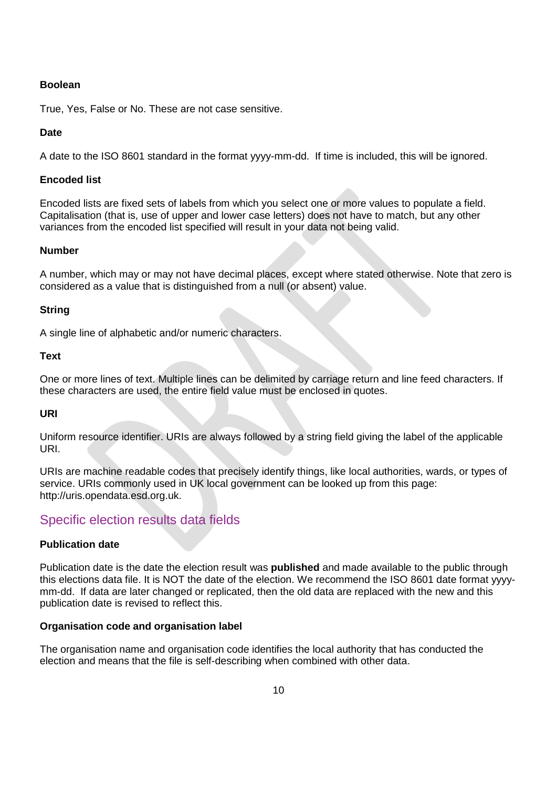### **Boolean**

True, Yes, False or No. These are not case sensitive.

## **Date**

A date to the ISO 8601 standard in the format yyyy-mm-dd. If time is included, this will be ignored.

## **Encoded list**

Encoded lists are fixed sets of labels from which you select one or more values to populate a field. Capitalisation (that is, use of upper and lower case letters) does not have to match, but any other variances from the encoded list specified will result in your data not being valid.

## **Number**

A number, which may or may not have decimal places, except where stated otherwise. Note that zero is considered as a value that is distinguished from a null (or absent) value.

## **String**

A single line of alphabetic and/or numeric characters.

### **Text**

One or more lines of text. Multiple lines can be delimited by carriage return and line feed characters. If these characters are used, the entire field value must be enclosed in quotes.

## **URI**

Uniform resource identifier. URIs are always followed by a string field giving the label of the applicable URI.

URIs are machine readable codes that precisely identify things, like local authorities, wards, or types of service. URIs commonly used in UK local government can be looked up from this page: http://uris.opendata.esd.org.uk.

## Specific election results data fields

## **Publication date**

Publication date is the date the election result was **published** and made available to the public through this elections data file. It is NOT the date of the election. We recommend the ISO 8601 date format yyyymm-dd. If data are later changed or replicated, then the old data are replaced with the new and this publication date is revised to reflect this.

### **Organisation code and organisation label**

The organisation name and organisation code identifies the local authority that has conducted the election and means that the file is self-describing when combined with other data.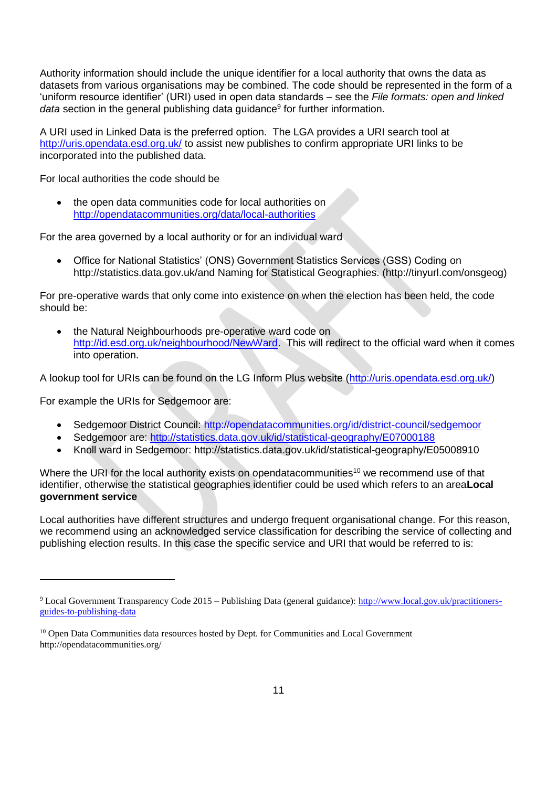Authority information should include the unique identifier for a local authority that owns the data as datasets from various organisations may be combined. The code should be represented in the form of a 'uniform resource identifier' (URI) used in open data standards – see the *File formats: open and linked*  data section in the general publishing data guidance<sup>9</sup> for further information.

A URI used in Linked Data is the preferred option. The LGA provides a URI search tool at <http://uris.opendata.esd.org.uk/> to assist new publishes to confirm appropriate URI links to be incorporated into the published data.

For local authorities the code should be

 the open data communities code for local authorities on <http://opendatacommunities.org/data/local-authorities>

For the area governed by a local authority or for an individual ward

 Office for National Statistics' (ONS) Government Statistics Services (GSS) Coding on http://statistics.data.gov.uk/and Naming for Statistical Geographies. (http://tinyurl.com/onsgeog)

For pre-operative wards that only come into existence on when the election has been held, the code should be:

 the Natural Neighbourhoods pre-operative ward code on [http://id.esd.org.uk/neighbourhood/NewWard.](http://id.esd.org.uk/neighbourhood/NewWard) This will redirect to the official ward when it comes into operation.

A lookup tool for URIs can be found on the LG Inform Plus website [\(http://uris.opendata.esd.org.uk/\)](http://uris.opendata.esd.org.uk/)

For example the URIs for Sedgemoor are:

- Sedgemoor District Council:<http://opendatacommunities.org/id/district-council/sedgemoor>
- Sedgemoor are:<http://statistics.data.gov.uk/id/statistical-geography/E07000188>
- Knoll ward in Sedgemoor: http://statistics.data.gov.uk/id/statistical-geography/E05008910

Where the URI for the local authority exists on opendatacommunities<sup>10</sup> we recommend use of that identifier, otherwise the statistical geographies identifier could be used which refers to an area**Local government service**

Local authorities have different structures and undergo frequent organisational change. For this reason, we recommend using an acknowledged service classification for describing the service of collecting and publishing election results. In this case the specific service and URI that would be referred to is:

<sup>9</sup> Local Government Transparency Code 2015 – Publishing Data (general guidance): [http://www.local.gov.uk/practitioners](http://www.local.gov.uk/practitioners-guides-to-publishing-data)[guides-to-publishing-data](http://www.local.gov.uk/practitioners-guides-to-publishing-data)

<sup>&</sup>lt;sup>10</sup> Open Data Communities data resources hosted by Dept. for Communities and Local Government http://opendatacommunities.org/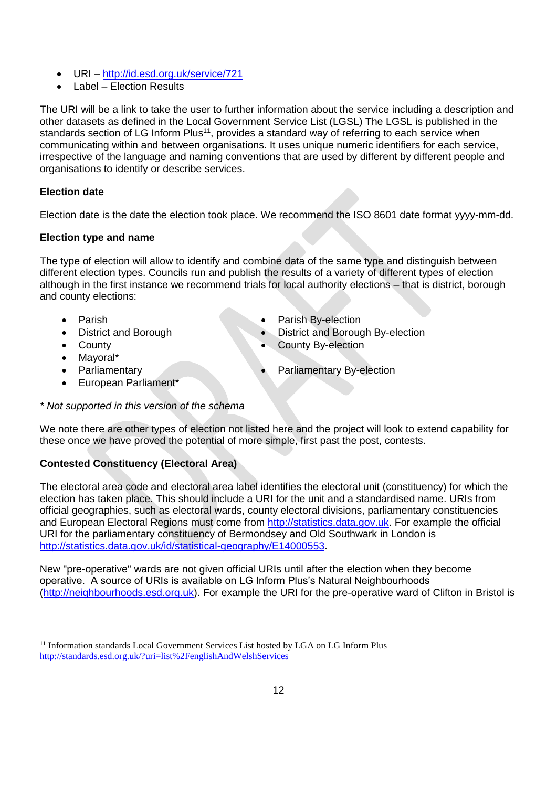- URI <http://id.esd.org.uk/service/721>
- Label Election Results

The URI will be a link to take the user to further information about the service including a description and other datasets as defined in the Local Government Service List (LGSL) The LGSL is published in the standards section of LG Inform Plus<sup>11</sup>, provides a standard way of referring to each service when communicating within and between organisations. It uses unique numeric identifiers for each service, irrespective of the language and naming conventions that are used by different by different people and organisations to identify or describe services.

## **Election date**

Election date is the date the election took place. We recommend the ISO 8601 date format yyyy-mm-dd.

## **Election type and name**

The type of election will allow to identify and combine data of the same type and distinguish between different election types. Councils run and publish the results of a variety of different types of election although in the first instance we recommend trials for local authority elections – that is district, borough and county elections:

 $\overline{a}$ 

- District and Borough **Constanting Construction District and Borough By-election**
- Parish **Parish By-election** 
	-
	- **County County County County County By-election**
- Mavoral\*
- 
- European Parliament\*
- Parliamentary **Parliamentary By-election**
- *\* Not supported in this version of the schema*

We note there are other types of election not listed here and the project will look to extend capability for these once we have proved the potential of more simple, first past the post, contests.

## **Contested Constituency (Electoral Area)**

The electoral area code and electoral area label identifies the electoral unit (constituency) for which the election has taken place. This should include a URI for the unit and a standardised name. URIs from official geographies, such as electoral wards, county electoral divisions, parliamentary constituencies and European Electoral Regions must come from [http://statistics.data.gov.uk.](http://statistics.data.gov.uk/) For example the official URI for the parliamentary constituency of Bermondsey and Old Southwark in London is [http://statistics.data.gov.uk/id/statistical-geography/E14000553.](http://statistics.data.gov.uk/id/statistical-geography/E14000553)

New "pre-operative" wards are not given official URIs until after the election when they become operative. A source of URIs is available on LG Inform Plus's Natural Neighbourhoods [\(http://neighbourhoods.esd.org.uk\)](http://neighbourhoods.esd.org.uk/). For example the URI for the pre-operative ward of Clifton in Bristol is

<sup>&</sup>lt;sup>11</sup> Information standards Local Government Services List hosted by LGA on LG Inform Plus <http://standards.esd.org.uk/?uri=list%2FenglishAndWelshServices>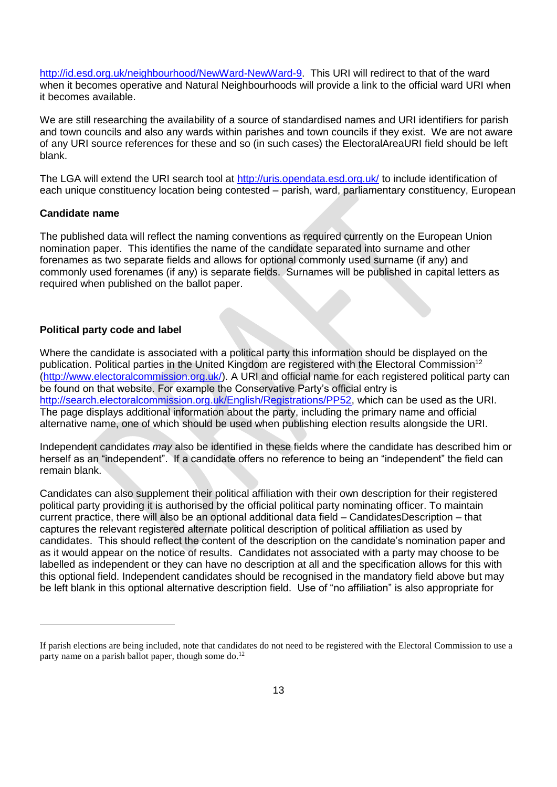[http://id.esd.org.uk/neighbourhood/NewWard-NewWard-9.](http://id.esd.org.uk/neighbourhood/NewWard-NewWard-9) This URI will redirect to that of the ward when it becomes operative and Natural Neighbourhoods will provide a link to the official ward URI when it becomes available.

We are still researching the availability of a source of standardised names and URI identifiers for parish and town councils and also any wards within parishes and town councils if they exist. We are not aware of any URI source references for these and so (in such cases) the ElectoralAreaURI field should be left blank.

The LGA will extend the URI search tool at<http://uris.opendata.esd.org.uk/> to include identification of each unique constituency location being contested – parish, ward, parliamentary constituency, European

#### **Candidate name**

 $\overline{a}$ 

The published data will reflect the naming conventions as required currently on the European Union nomination paper. This identifies the name of the candidate separated into surname and other forenames as two separate fields and allows for optional commonly used surname (if any) and commonly used forenames (if any) is separate fields. Surnames will be published in capital letters as required when published on the ballot paper.

### **Political party code and label**

Where the candidate is associated with a political party this information should be displayed on the publication. Political parties in the United Kingdom are registered with the Electoral Commission<sup>12</sup> [\(http://www.electoralcommission.org.uk/\)](http://www.electoralcommission.org.uk/). A URI and official name for each registered political party can be found on that website. For example the Conservative Party's official entry is [http://search.electoralcommission.org.uk/English/Registrations/PP52,](http://search.electoralcommission.org.uk/English/Registrations/PP52) which can be used as the URI. The page displays additional information about the party, including the primary name and official alternative name, one of which should be used when publishing election results alongside the URI.

Independent candidates *may* also be identified in these fields where the candidate has described him or herself as an "independent". If a candidate offers no reference to being an "independent" the field can remain blank.

Candidates can also supplement their political affiliation with their own description for their registered political party providing it is authorised by the official political party nominating officer. To maintain current practice, there will also be an optional additional data field – CandidatesDescription – that captures the relevant registered alternate political description of political affiliation as used by candidates. This should reflect the content of the description on the candidate's nomination paper and as it would appear on the notice of results. Candidates not associated with a party may choose to be labelled as independent or they can have no description at all and the specification allows for this with this optional field. Independent candidates should be recognised in the mandatory field above but may be left blank in this optional alternative description field. Use of "no affiliation" is also appropriate for

If parish elections are being included, note that candidates do not need to be registered with the Electoral Commission to use a party name on a parish ballot paper, though some do.<sup>12</sup>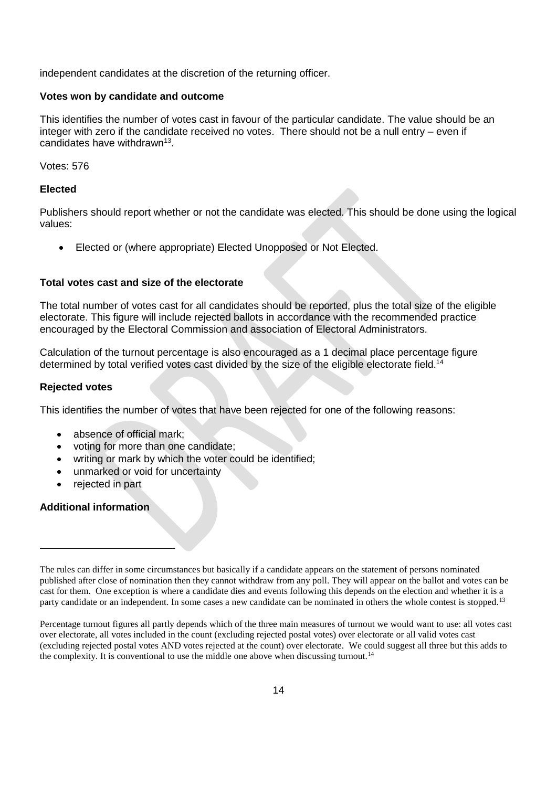independent candidates at the discretion of the returning officer.

### **Votes won by candidate and outcome**

This identifies the number of votes cast in favour of the particular candidate. The value should be an integer with zero if the candidate received no votes. There should not be a null entry – even if candidates have withdrawn<sup>13</sup>.

Votes: 576

#### **Elected**

Publishers should report whether or not the candidate was elected. This should be done using the logical values:

Elected or (where appropriate) Elected Unopposed or Not Elected.

## **Total votes cast and size of the electorate**

The total number of votes cast for all candidates should be reported, plus the total size of the eligible electorate. This figure will include rejected ballots in accordance with the recommended practice encouraged by the Electoral Commission and association of Electoral Administrators.

Calculation of the turnout percentage is also encouraged as a 1 decimal place percentage figure determined by total verified votes cast divided by the size of the eligible electorate field.<sup>14</sup>

#### **Rejected votes**

This identifies the number of votes that have been rejected for one of the following reasons:

- absence of official mark;
- voting for more than one candidate;
- writing or mark by which the voter could be identified;
- unmarked or void for uncertainty
- rejected in part

## **Additional information**

Percentage turnout figures all partly depends which of the three main measures of turnout we would want to use: all votes cast over electorate, all votes included in the count (excluding rejected postal votes) over electorate or all valid votes cast (excluding rejected postal votes AND votes rejected at the count) over electorate. We could suggest all three but this adds to the complexity. It is conventional to use the middle one above when discussing turnout.<sup>14</sup>

The rules can differ in some circumstances but basically if a candidate appears on the statement of persons nominated published after close of nomination then they cannot withdraw from any poll. They will appear on the ballot and votes can be cast for them. One exception is where a candidate dies and events following this depends on the election and whether it is a party candidate or an independent. In some cases a new candidate can be nominated in others the whole contest is stopped.<sup>13</sup>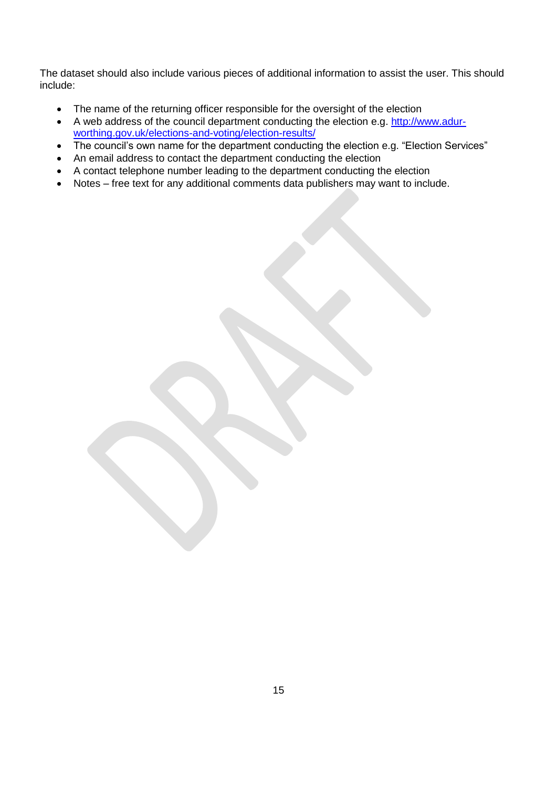The dataset should also include various pieces of additional information to assist the user. This should include:

- The name of the returning officer responsible for the oversight of the election
- A web address of the council department conducting the election e.g. [http://www.adur](http://www.adur-worthing.gov.uk/elections-and-voting/election-results/)[worthing.gov.uk/elections-and-voting/election-results/](http://www.adur-worthing.gov.uk/elections-and-voting/election-results/)
- The council's own name for the department conducting the election e.g. "Election Services"
- An email address to contact the department conducting the election
- A contact telephone number leading to the department conducting the election
- Notes free text for any additional comments data publishers may want to include.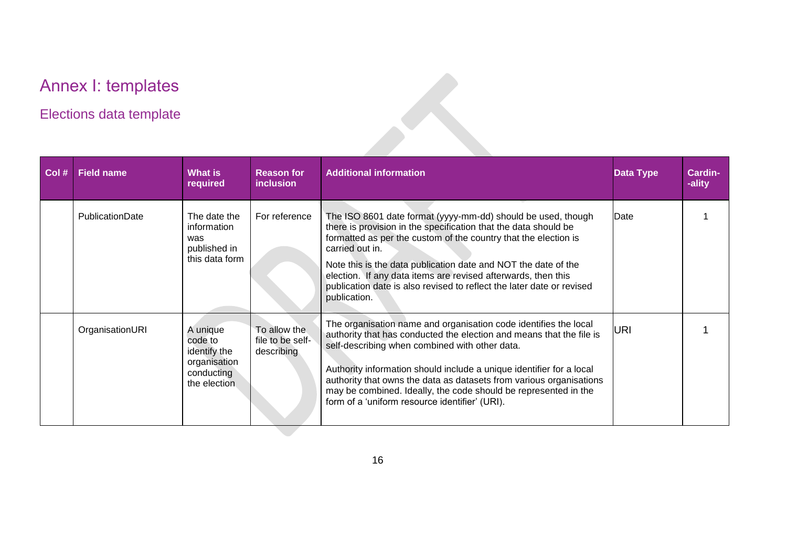# Annex I: templates

## Elections data template

<span id="page-15-0"></span>

| Col# | <b>Field name</b>      | What is<br>required                                                               | <b>Reason for</b><br><i>inclusion</i>          | <b>Additional information</b>                                                                                                                                                                                                                                                                                                                                                                                                                                  | <b>Data Type</b> | <b>Cardin-</b><br>-ality |
|------|------------------------|-----------------------------------------------------------------------------------|------------------------------------------------|----------------------------------------------------------------------------------------------------------------------------------------------------------------------------------------------------------------------------------------------------------------------------------------------------------------------------------------------------------------------------------------------------------------------------------------------------------------|------------------|--------------------------|
|      | <b>PublicationDate</b> | The date the<br>information<br>was<br>published in<br>this data form              | For reference                                  | The ISO 8601 date format (yyyy-mm-dd) should be used, though<br>there is provision in the specification that the data should be<br>formatted as per the custom of the country that the election is<br>carried out in.<br>Note this is the data publication date and NOT the date of the<br>election. If any data items are revised afterwards, then this<br>publication date is also revised to reflect the later date or revised<br>publication.              | Date             |                          |
|      | OrganisationURI        | A unique<br>code to<br>identify the<br>organisation<br>conducting<br>the election | To allow the<br>file to be self-<br>describing | The organisation name and organisation code identifies the local<br>authority that has conducted the election and means that the file is<br>self-describing when combined with other data.<br>Authority information should include a unique identifier for a local<br>authority that owns the data as datasets from various organisations<br>may be combined. Ideally, the code should be represented in the<br>form of a 'uniform resource identifier' (URI). | URI              |                          |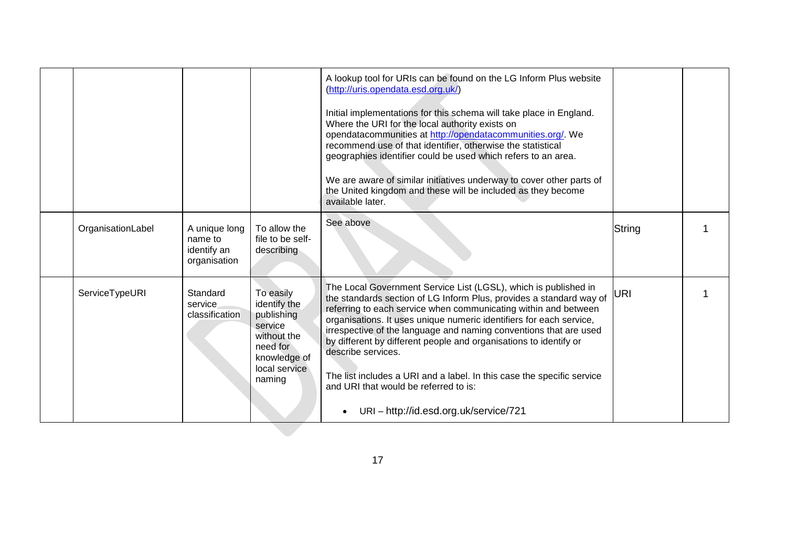|                   |                                                         |                                                                                                                          | A lookup tool for URIs can be found on the LG Inform Plus website<br>(http://uris.opendata.esd.org.uk/)<br>Initial implementations for this schema will take place in England.<br>Where the URI for the local authority exists on<br>opendatacommunities at http://opendatacommunities.org/. We<br>recommend use of that identifier, otherwise the statistical<br>geographies identifier could be used which refers to an area.<br>We are aware of similar initiatives underway to cover other parts of<br>the United kingdom and these will be included as they become<br>available later.                 |            |  |
|-------------------|---------------------------------------------------------|--------------------------------------------------------------------------------------------------------------------------|-------------------------------------------------------------------------------------------------------------------------------------------------------------------------------------------------------------------------------------------------------------------------------------------------------------------------------------------------------------------------------------------------------------------------------------------------------------------------------------------------------------------------------------------------------------------------------------------------------------|------------|--|
| OrganisationLabel | A unique long<br>name to<br>identify an<br>organisation | To allow the<br>file to be self-<br>describing                                                                           | See above                                                                                                                                                                                                                                                                                                                                                                                                                                                                                                                                                                                                   | String     |  |
| ServiceTypeURI    | Standard<br>service<br>classification                   | To easily<br>identify the<br>publishing<br>service<br>without the<br>need for<br>knowledge of<br>local service<br>naming | The Local Government Service List (LGSL), which is published in<br>the standards section of LG Inform Plus, provides a standard way of<br>referring to each service when communicating within and between<br>organisations. It uses unique numeric identifiers for each service,<br>irrespective of the language and naming conventions that are used<br>by different by different people and organisations to identify or<br>describe services.<br>The list includes a URI and a label. In this case the specific service<br>and URI that would be referred to is:<br>URI-http://id.esd.org.uk/service/721 | <b>URI</b> |  |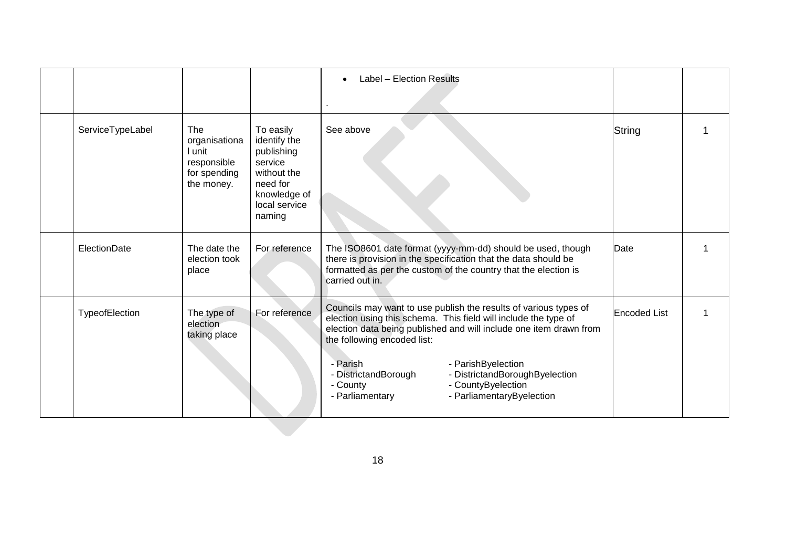|                  |                                                                             |                                                                                                                          | Label - Election Results<br>$\bullet$                                                                                                                                                                                                                                                                                                                                                                                  |              |  |
|------------------|-----------------------------------------------------------------------------|--------------------------------------------------------------------------------------------------------------------------|------------------------------------------------------------------------------------------------------------------------------------------------------------------------------------------------------------------------------------------------------------------------------------------------------------------------------------------------------------------------------------------------------------------------|--------------|--|
|                  |                                                                             |                                                                                                                          |                                                                                                                                                                                                                                                                                                                                                                                                                        |              |  |
| ServiceTypeLabel | The<br>organisationa<br>l unit<br>responsible<br>for spending<br>the money. | To easily<br>identify the<br>publishing<br>service<br>without the<br>need for<br>knowledge of<br>local service<br>naming | See above                                                                                                                                                                                                                                                                                                                                                                                                              | String       |  |
| ElectionDate     | The date the<br>election took<br>place                                      | For reference                                                                                                            | The ISO8601 date format (yyyy-mm-dd) should be used, though<br>there is provision in the specification that the data should be<br>formatted as per the custom of the country that the election is<br>carried out in.                                                                                                                                                                                                   | Date         |  |
| TypeofElection   | The type of<br>election<br>taking place                                     | For reference                                                                                                            | Councils may want to use publish the results of various types of<br>election using this schema. This field will include the type of<br>election data being published and will include one item drawn from<br>the following encoded list:<br>- Parish<br>- ParishByelection<br>- DistrictandBorough<br>- DistrictandBoroughByelection<br>- CountyByelection<br>- County<br>- Parliamentary<br>- ParliamentaryByelection | Encoded List |  |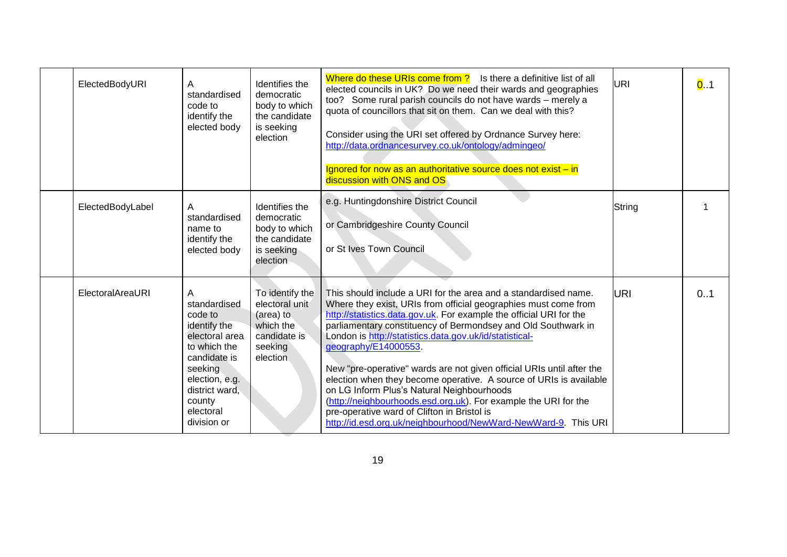| ElectedBodyURI   | Α<br>standardised<br>code to<br>identify the<br>elected body                                                                                                                        | Identifies the<br>democratic<br>body to which<br>the candidate<br>is seeking<br>election           | Where do these URIs come from?<br>Is there a definitive list of all<br>elected councils in UK? Do we need their wards and geographies<br>too? Some rural parish councils do not have wards - merely a<br>quota of councillors that sit on them. Can we deal with this?<br>Consider using the URI set offered by Ordnance Survey here:<br>http://data.ordnancesurvey.co.uk/ontology/admingeo/<br>Ignored for now as an authoritative source does not exist - in<br>discussion with ONS and OS                                                                                                                                                                                                                                                   | URI        | 0.1 |
|------------------|-------------------------------------------------------------------------------------------------------------------------------------------------------------------------------------|----------------------------------------------------------------------------------------------------|------------------------------------------------------------------------------------------------------------------------------------------------------------------------------------------------------------------------------------------------------------------------------------------------------------------------------------------------------------------------------------------------------------------------------------------------------------------------------------------------------------------------------------------------------------------------------------------------------------------------------------------------------------------------------------------------------------------------------------------------|------------|-----|
| ElectedBodyLabel | A<br>standardised<br>name to<br>identify the<br>elected body                                                                                                                        | Identifies the<br>democratic<br>body to which<br>the candidate<br>is seeking<br>election           | e.g. Huntingdonshire District Council<br>or Cambridgeshire County Council<br>or St Ives Town Council                                                                                                                                                                                                                                                                                                                                                                                                                                                                                                                                                                                                                                           | String     |     |
| ElectoralAreaURI | A<br>standardised<br>code to<br>identify the<br>electoral area<br>to which the<br>candidate is<br>seeking<br>election, e.g.<br>district ward,<br>county<br>electoral<br>division or | To identify the<br>electoral unit<br>(area) to<br>which the<br>candidate is<br>seeking<br>election | This should include a URI for the area and a standardised name.<br>Where they exist, URIs from official geographies must come from<br>http://statistics.data.gov.uk. For example the official URI for the<br>parliamentary constituency of Bermondsey and Old Southwark in<br>London is http://statistics.data.gov.uk/id/statistical-<br>geography/E14000553.<br>New "pre-operative" wards are not given official URIs until after the<br>election when they become operative. A source of URIs is available<br>on LG Inform Plus's Natural Neighbourhoods<br>(http://neighbourhoods.esd.org.uk). For example the URI for the<br>pre-operative ward of Clifton in Bristol is<br>http://id.esd.org.uk/neighbourhood/NewWard-NewWard-9. This URI | <b>URI</b> | 0.1 |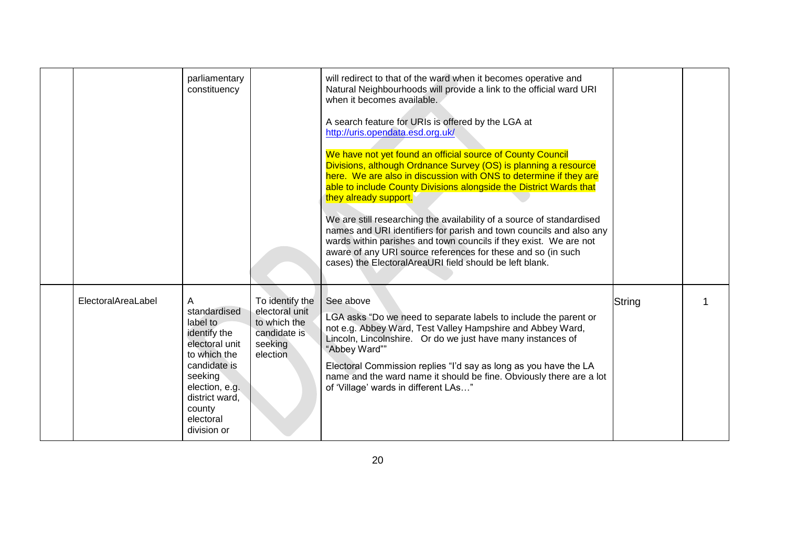|                    | parliamentary<br>constituency                                                                                                                                                        |                                                                                          | will redirect to that of the ward when it becomes operative and<br>Natural Neighbourhoods will provide a link to the official ward URI<br>when it becomes available.<br>A search feature for URIs is offered by the LGA at<br>http://uris.opendata.esd.org.uk/<br>We have not yet found an official source of County Council<br>Divisions, although Ordnance Survey (OS) is planning a resource<br>here. We are also in discussion with ONS to determine if they are<br>able to include County Divisions alongside the District Wards that<br>they already support.<br>We are still researching the availability of a source of standardised<br>names and URI identifiers for parish and town councils and also any<br>wards within parishes and town councils if they exist. We are not<br>aware of any URI source references for these and so (in such<br>cases) the ElectoralAreaURI field should be left blank. |        |  |
|--------------------|--------------------------------------------------------------------------------------------------------------------------------------------------------------------------------------|------------------------------------------------------------------------------------------|---------------------------------------------------------------------------------------------------------------------------------------------------------------------------------------------------------------------------------------------------------------------------------------------------------------------------------------------------------------------------------------------------------------------------------------------------------------------------------------------------------------------------------------------------------------------------------------------------------------------------------------------------------------------------------------------------------------------------------------------------------------------------------------------------------------------------------------------------------------------------------------------------------------------|--------|--|
| ElectoralAreaLabel | A<br>standardised<br>label to<br>identify the<br>electoral unit<br>to which the<br>candidate is<br>seeking<br>election, e.g.<br>district ward,<br>county<br>electoral<br>division or | To identify the<br>electoral unit<br>to which the<br>candidate is<br>seeking<br>election | See above<br>LGA asks "Do we need to separate labels to include the parent or<br>not e.g. Abbey Ward, Test Valley Hampshire and Abbey Ward,<br>Lincoln, Lincolnshire. Or do we just have many instances of<br>"Abbey Ward""<br>Electoral Commission replies "I'd say as long as you have the LA<br>name and the ward name it should be fine. Obviously there are a lot<br>of 'Village' wards in different LAs"                                                                                                                                                                                                                                                                                                                                                                                                                                                                                                      | String |  |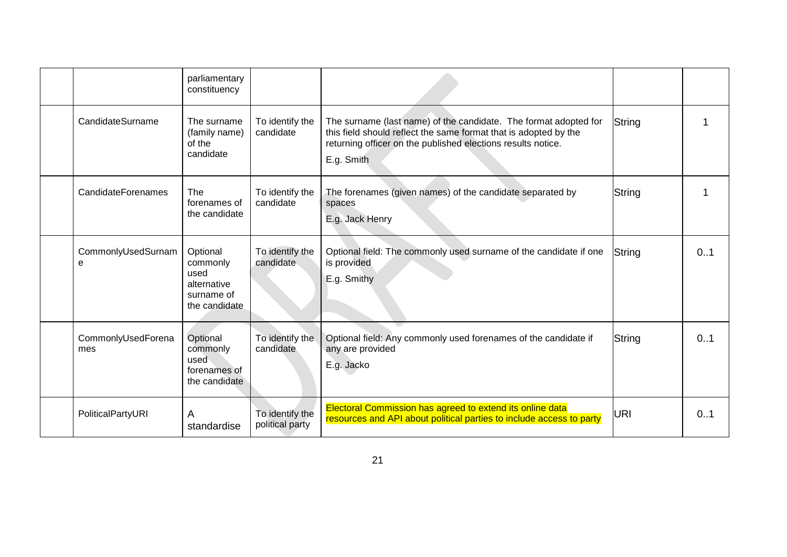|                           | parliamentary<br>constituency                                              |                                    |                                                                                                                                                                                                                    |        |     |
|---------------------------|----------------------------------------------------------------------------|------------------------------------|--------------------------------------------------------------------------------------------------------------------------------------------------------------------------------------------------------------------|--------|-----|
| CandidateSurname          | The surname<br>(family name)<br>of the<br>candidate                        | To identify the<br>candidate       | The surname (last name) of the candidate. The format adopted for<br>this field should reflect the same format that is adopted by the<br>returning officer on the published elections results notice.<br>E.g. Smith | String |     |
| CandidateForenames        | The<br>forenames of<br>the candidate                                       | To identify the<br>candidate       | The forenames (given names) of the candidate separated by<br>spaces<br>E.g. Jack Henry                                                                                                                             | String |     |
| CommonlyUsedSurnam<br>e   | Optional<br>commonly<br>used<br>alternative<br>surname of<br>the candidate | To identify the<br>candidate       | Optional field: The commonly used surname of the candidate if one<br>is provided<br>E.g. Smithy                                                                                                                    | String | 0.1 |
| CommonlyUsedForena<br>mes | Optional<br>commonly<br>used<br>forenames of<br>the candidate              | To identify the<br>candidate       | Optional field: Any commonly used forenames of the candidate if<br>any are provided<br>E.g. Jacko                                                                                                                  | String | 0.1 |
| PoliticalPartyURI         | A<br>standardise                                                           | To identify the<br>political party | Electoral Commission has agreed to extend its online data<br>resources and API about political parties to include access to party                                                                                  | URI    | 0.1 |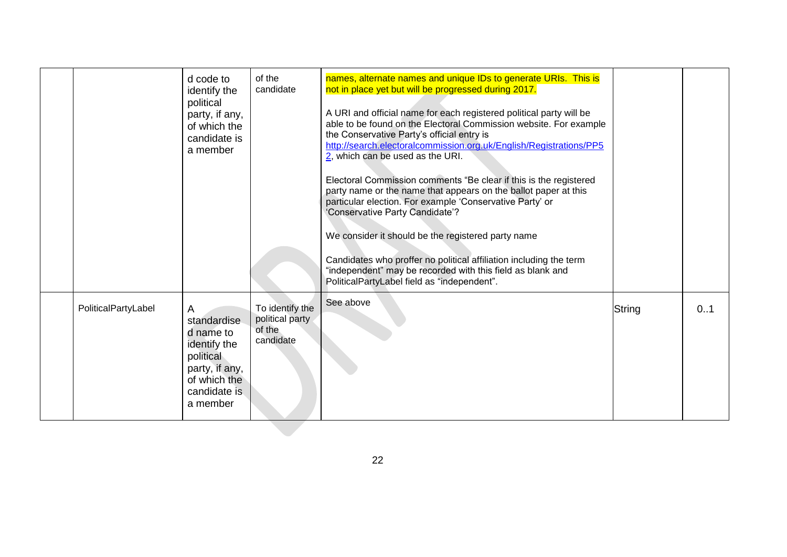|                     | d code to<br>identify the<br>political<br>party, if any,<br>of which the<br>candidate is<br>a member                     | of the<br>candidate                                       | names, alternate names and unique IDs to generate URIs. This is<br>not in place yet but will be progressed during 2017.<br>A URI and official name for each registered political party will be<br>able to be found on the Electoral Commission website. For example<br>the Conservative Party's official entry is<br>http://search.electoralcommission.org.uk/English/Registrations/PP5<br>$2$ , which can be used as the URI.<br>Electoral Commission comments "Be clear if this is the registered<br>party name or the name that appears on the ballot paper at this<br>particular election. For example 'Conservative Party' or<br>'Conservative Party Candidate'?<br>We consider it should be the registered party name<br>Candidates who proffer no political affiliation including the term<br>"independent" may be recorded with this field as blank and<br>PoliticalPartyLabel field as "independent". |        |     |
|---------------------|--------------------------------------------------------------------------------------------------------------------------|-----------------------------------------------------------|----------------------------------------------------------------------------------------------------------------------------------------------------------------------------------------------------------------------------------------------------------------------------------------------------------------------------------------------------------------------------------------------------------------------------------------------------------------------------------------------------------------------------------------------------------------------------------------------------------------------------------------------------------------------------------------------------------------------------------------------------------------------------------------------------------------------------------------------------------------------------------------------------------------|--------|-----|
| PoliticalPartyLabel | A<br>standardise<br>d name to<br>identify the<br>political<br>party, if any,<br>of which the<br>candidate is<br>a member | To identify the<br>political party<br>of the<br>candidate | See above                                                                                                                                                                                                                                                                                                                                                                                                                                                                                                                                                                                                                                                                                                                                                                                                                                                                                                      | String | 0.1 |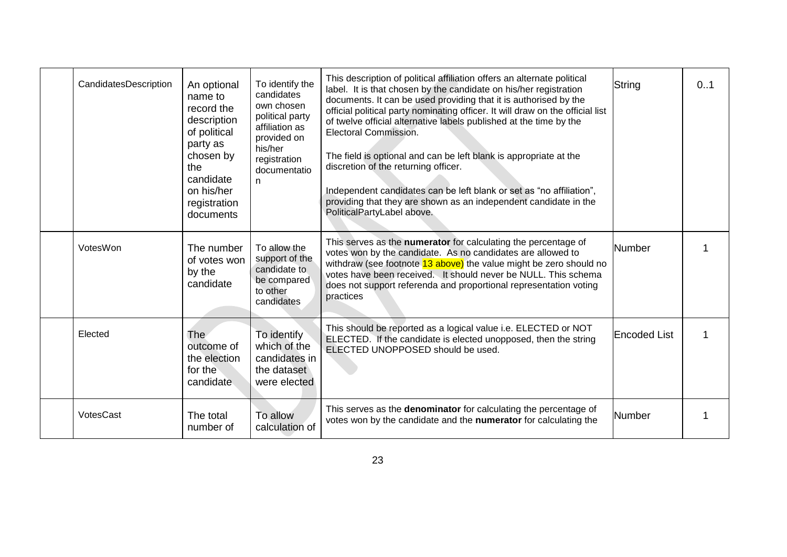| CandidatesDescription | An optional<br>name to<br>record the<br>description<br>of political<br>party as<br>chosen by<br>the<br>candidate<br>on his/her<br>registration<br>documents | To identify the<br>candidates<br>own chosen<br>political party<br>affiliation as<br>provided on<br>his/her<br>registration<br>documentatio<br>n | This description of political affiliation offers an alternate political<br>label. It is that chosen by the candidate on his/her registration<br>documents. It can be used providing that it is authorised by the<br>official political party nominating officer. It will draw on the official list<br>of twelve official alternative labels published at the time by the<br>Electoral Commission.<br>The field is optional and can be left blank is appropriate at the<br>discretion of the returning officer.<br>Independent candidates can be left blank or set as "no affiliation",<br>providing that they are shown as an independent candidate in the<br>PoliticalPartyLabel above. | String              | 0.1 |
|-----------------------|-------------------------------------------------------------------------------------------------------------------------------------------------------------|-------------------------------------------------------------------------------------------------------------------------------------------------|------------------------------------------------------------------------------------------------------------------------------------------------------------------------------------------------------------------------------------------------------------------------------------------------------------------------------------------------------------------------------------------------------------------------------------------------------------------------------------------------------------------------------------------------------------------------------------------------------------------------------------------------------------------------------------------|---------------------|-----|
| VotesWon              | The number<br>of votes won<br>by the<br>candidate                                                                                                           | To allow the<br>support of the<br>candidate to<br>be compared<br>to other<br>candidates                                                         | This serves as the numerator for calculating the percentage of<br>votes won by the candidate. As no candidates are allowed to<br>withdraw (see footnote 13 above) the value might be zero should no<br>votes have been received. It should never be NULL. This schema<br>does not support referenda and proportional representation voting<br>practices                                                                                                                                                                                                                                                                                                                                  | <b>Number</b>       |     |
| Elected               | The<br>outcome of<br>the election<br>for the<br>candidate                                                                                                   | To identify<br>which of the<br>candidates in<br>the dataset<br>were elected                                                                     | This should be reported as a logical value i.e. ELECTED or NOT<br>ELECTED. If the candidate is elected unopposed, then the string<br>ELECTED UNOPPOSED should be used.                                                                                                                                                                                                                                                                                                                                                                                                                                                                                                                   | <b>Encoded List</b> |     |
| VotesCast             | The total<br>number of                                                                                                                                      | To allow<br>calculation of                                                                                                                      | This serves as the denominator for calculating the percentage of<br>votes won by the candidate and the numerator for calculating the                                                                                                                                                                                                                                                                                                                                                                                                                                                                                                                                                     | <b>Number</b>       |     |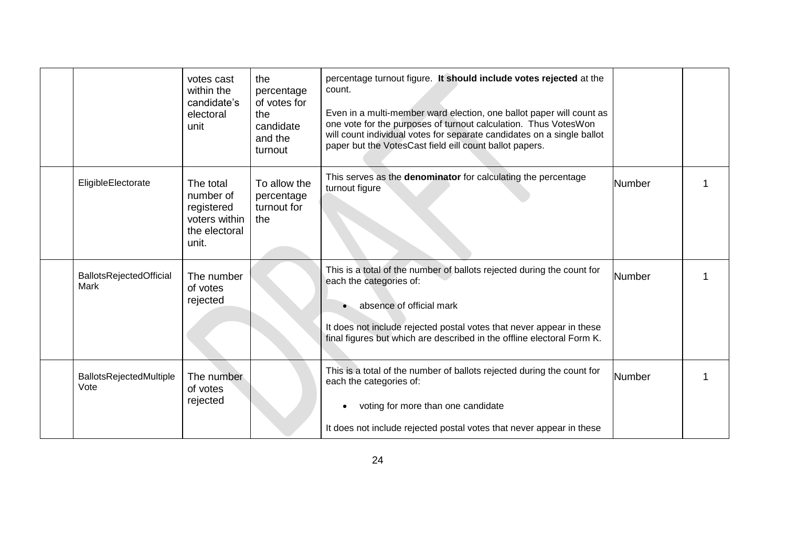|                                 | votes cast<br>within the<br>candidate's<br>electoral<br>unit                    | the<br>percentage<br>of votes for<br>the<br>candidate<br>and the<br>turnout | percentage turnout figure. It should include votes rejected at the<br>count.<br>Even in a multi-member ward election, one ballot paper will count as<br>one vote for the purposes of turnout calculation. Thus VotesWon<br>will count individual votes for separate candidates on a single ballot<br>paper but the VotesCast field eill count ballot papers. |               |  |
|---------------------------------|---------------------------------------------------------------------------------|-----------------------------------------------------------------------------|--------------------------------------------------------------------------------------------------------------------------------------------------------------------------------------------------------------------------------------------------------------------------------------------------------------------------------------------------------------|---------------|--|
| EligibleElectorate              | The total<br>number of<br>registered<br>voters within<br>the electoral<br>unit. | To allow the<br>percentage<br>turnout for<br>the                            | This serves as the <b>denominator</b> for calculating the percentage<br>turnout figure                                                                                                                                                                                                                                                                       | Number        |  |
| BallotsRejectedOfficial<br>Mark | The number<br>of votes<br>rejected                                              |                                                                             | This is a total of the number of ballots rejected during the count for<br>each the categories of:<br>absence of official mark<br>It does not include rejected postal votes that never appear in these<br>final figures but which are described in the offline electoral Form K.                                                                              | <b>Number</b> |  |
| BallotsRejectedMultiple<br>Vote | The number<br>of votes<br>rejected                                              |                                                                             | This is a total of the number of ballots rejected during the count for<br>each the categories of:<br>voting for more than one candidate<br>$\bullet$<br>It does not include rejected postal votes that never appear in these                                                                                                                                 | <b>Number</b> |  |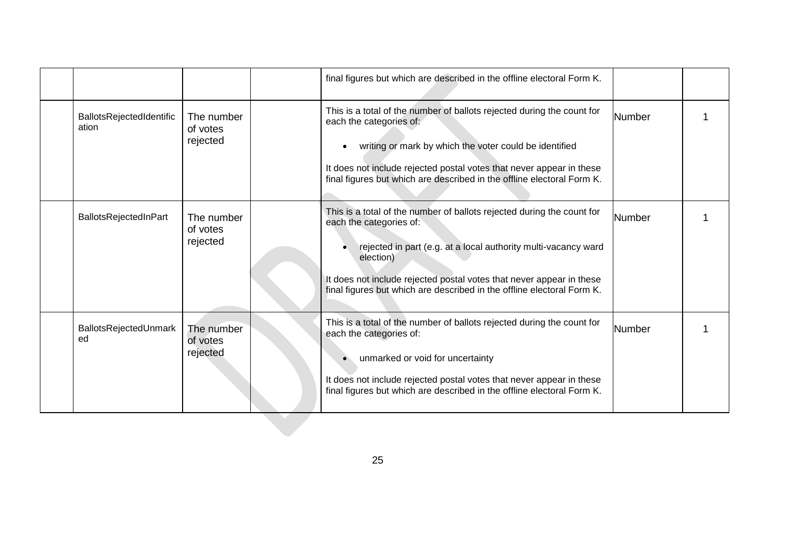|                                   |                                    | final figures but which are described in the offline electoral Form K.                                                                                                                                                                                                                                                             |        |  |
|-----------------------------------|------------------------------------|------------------------------------------------------------------------------------------------------------------------------------------------------------------------------------------------------------------------------------------------------------------------------------------------------------------------------------|--------|--|
| BallotsRejectedIdentific<br>ation | The number<br>of votes<br>rejected | This is a total of the number of ballots rejected during the count for<br>each the categories of:<br>writing or mark by which the voter could be identified<br>It does not include rejected postal votes that never appear in these<br>final figures but which are described in the offline electoral Form K.                      | Number |  |
| BallotsRejectedInPart             | The number<br>of votes<br>rejected | This is a total of the number of ballots rejected during the count for<br>each the categories of:<br>rejected in part (e.g. at a local authority multi-vacancy ward<br>election)<br>It does not include rejected postal votes that never appear in these<br>final figures but which are described in the offline electoral Form K. | Number |  |
| BallotsRejectedUnmark<br>ed       | The number<br>of votes<br>rejected | This is a total of the number of ballots rejected during the count for<br>each the categories of:<br>unmarked or void for uncertainty<br>It does not include rejected postal votes that never appear in these<br>final figures but which are described in the offline electoral Form K.                                            | Number |  |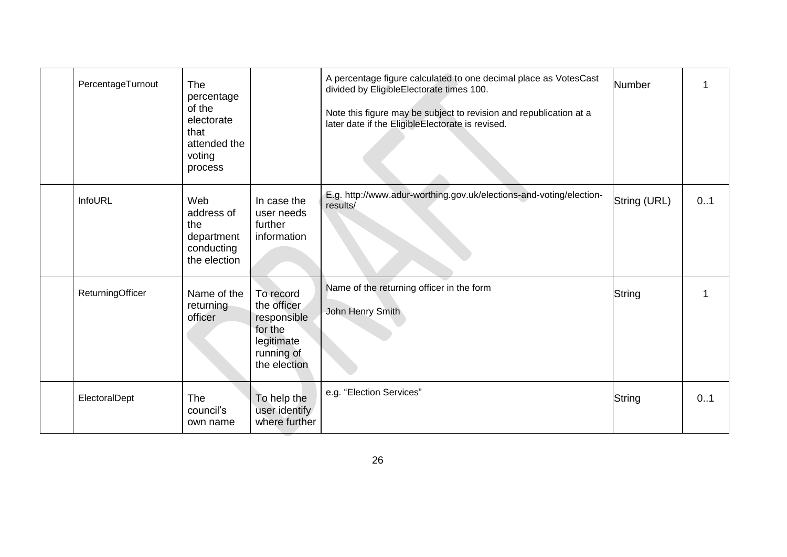| PercentageTurnout | The<br>percentage<br>of the<br>electorate<br>that<br>attended the<br>voting<br>process |                                                                                                | A percentage figure calculated to one decimal place as VotesCast<br>divided by EligibleElectorate times 100.<br>Note this figure may be subject to revision and republication at a<br>later date if the EligibleElectorate is revised. | <b>Number</b> |     |
|-------------------|----------------------------------------------------------------------------------------|------------------------------------------------------------------------------------------------|----------------------------------------------------------------------------------------------------------------------------------------------------------------------------------------------------------------------------------------|---------------|-----|
| InfoURL           | Web<br>address of<br>the<br>department<br>conducting<br>the election                   | In case the<br>user needs<br>further<br>information                                            | E.g. http://www.adur-worthing.gov.uk/elections-and-voting/election-<br>results/                                                                                                                                                        | String (URL)  | 0.1 |
| ReturningOfficer  | Name of the<br>returning<br>officer                                                    | To record<br>the officer<br>responsible<br>for the<br>legitimate<br>running of<br>the election | Name of the returning officer in the form<br>John Henry Smith                                                                                                                                                                          | String        |     |
| ElectoralDept     | The<br>council's<br>own name                                                           | To help the<br>user identify<br>where further                                                  | e.g. "Election Services"                                                                                                                                                                                                               | String        | 0.1 |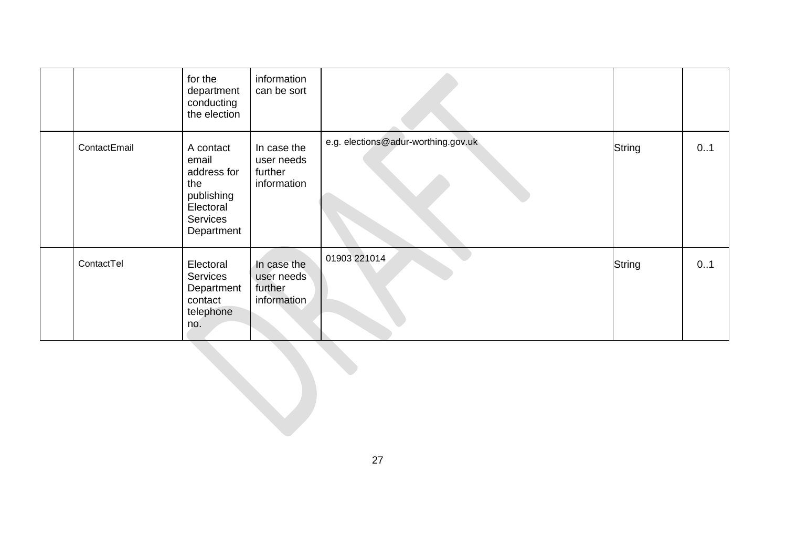|              | for the<br>department<br>conducting<br>the election                                           | information<br>can be sort                          |                                     |        |     |
|--------------|-----------------------------------------------------------------------------------------------|-----------------------------------------------------|-------------------------------------|--------|-----|
| ContactEmail | A contact<br>email<br>address for<br>the<br>publishing<br>Electoral<br>Services<br>Department | In case the<br>user needs<br>further<br>information | e.g. elections@adur-worthing.gov.uk | String | 0.1 |
| ContactTel   | Electoral<br><b>Services</b><br>Department<br>contact<br>telephone<br>no.                     | In case the<br>user needs<br>further<br>information | 01903 221014                        | String | 0.1 |